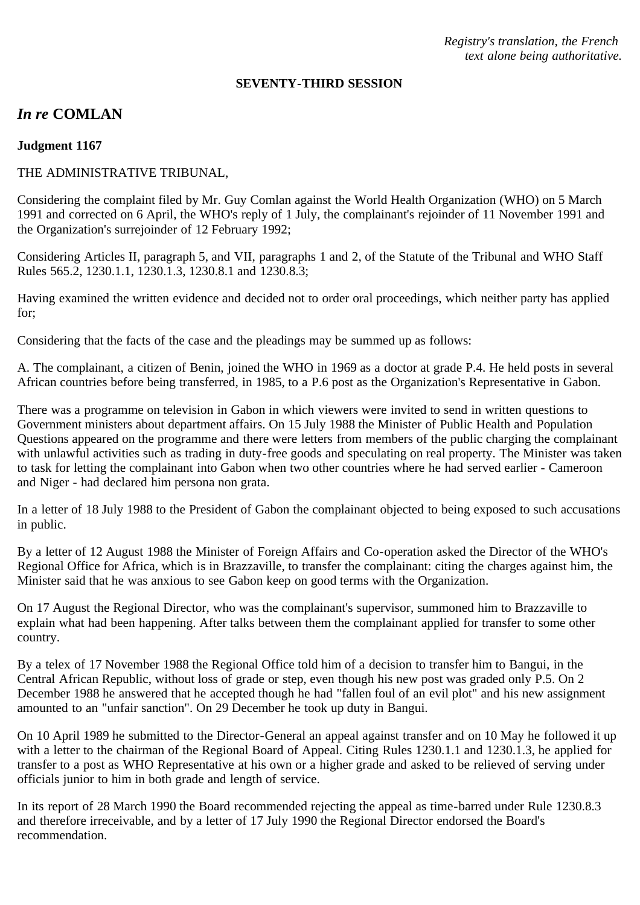*Registry's translation, the French text alone being authoritative.*

#### **SEVENTY-THIRD SESSION**

# *In re* **COMLAN**

### **Judgment 1167**

### THE ADMINISTRATIVE TRIBUNAL,

Considering the complaint filed by Mr. Guy Comlan against the World Health Organization (WHO) on 5 March 1991 and corrected on 6 April, the WHO's reply of 1 July, the complainant's rejoinder of 11 November 1991 and the Organization's surrejoinder of 12 February 1992;

Considering Articles II, paragraph 5, and VII, paragraphs 1 and 2, of the Statute of the Tribunal and WHO Staff Rules 565.2, 1230.1.1, 1230.1.3, 1230.8.1 and 1230.8.3;

Having examined the written evidence and decided not to order oral proceedings, which neither party has applied for;

Considering that the facts of the case and the pleadings may be summed up as follows:

A. The complainant, a citizen of Benin, joined the WHO in 1969 as a doctor at grade P.4. He held posts in several African countries before being transferred, in 1985, to a P.6 post as the Organization's Representative in Gabon.

There was a programme on television in Gabon in which viewers were invited to send in written questions to Government ministers about department affairs. On 15 July 1988 the Minister of Public Health and Population Questions appeared on the programme and there were letters from members of the public charging the complainant with unlawful activities such as trading in duty-free goods and speculating on real property. The Minister was taken to task for letting the complainant into Gabon when two other countries where he had served earlier - Cameroon and Niger - had declared him persona non grata.

In a letter of 18 July 1988 to the President of Gabon the complainant objected to being exposed to such accusations in public.

By a letter of 12 August 1988 the Minister of Foreign Affairs and Co-operation asked the Director of the WHO's Regional Office for Africa, which is in Brazzaville, to transfer the complainant: citing the charges against him, the Minister said that he was anxious to see Gabon keep on good terms with the Organization.

On 17 August the Regional Director, who was the complainant's supervisor, summoned him to Brazzaville to explain what had been happening. After talks between them the complainant applied for transfer to some other country.

By a telex of 17 November 1988 the Regional Office told him of a decision to transfer him to Bangui, in the Central African Republic, without loss of grade or step, even though his new post was graded only P.5. On 2 December 1988 he answered that he accepted though he had "fallen foul of an evil plot" and his new assignment amounted to an "unfair sanction". On 29 December he took up duty in Bangui.

On 10 April 1989 he submitted to the Director-General an appeal against transfer and on 10 May he followed it up with a letter to the chairman of the Regional Board of Appeal. Citing Rules 1230.1.1 and 1230.1.3, he applied for transfer to a post as WHO Representative at his own or a higher grade and asked to be relieved of serving under officials junior to him in both grade and length of service.

In its report of 28 March 1990 the Board recommended rejecting the appeal as time-barred under Rule 1230.8.3 and therefore irreceivable, and by a letter of 17 July 1990 the Regional Director endorsed the Board's recommendation.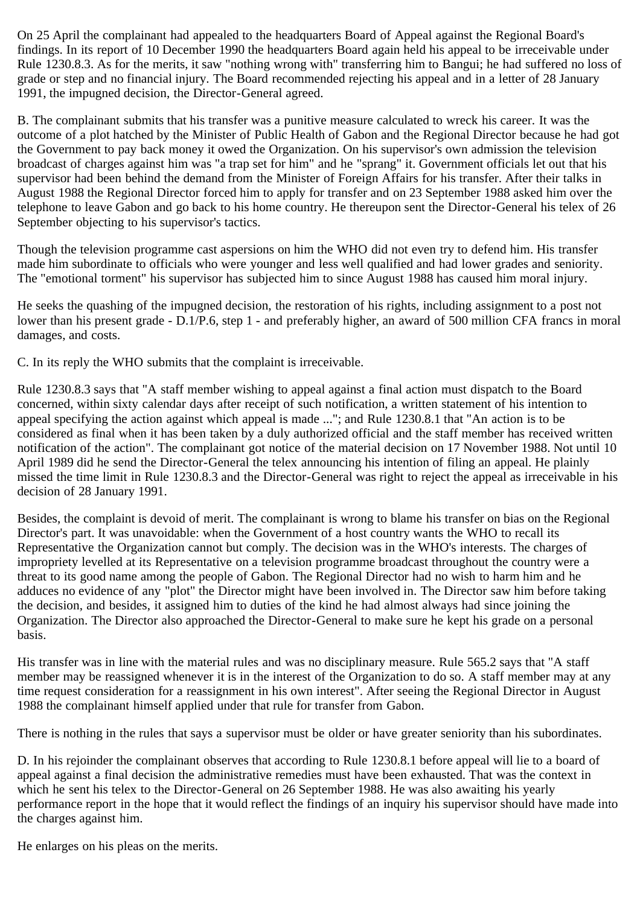On 25 April the complainant had appealed to the headquarters Board of Appeal against the Regional Board's findings. In its report of 10 December 1990 the headquarters Board again held his appeal to be irreceivable under Rule 1230.8.3. As for the merits, it saw "nothing wrong with" transferring him to Bangui; he had suffered no loss of grade or step and no financial injury. The Board recommended rejecting his appeal and in a letter of 28 January 1991, the impugned decision, the Director-General agreed.

B. The complainant submits that his transfer was a punitive measure calculated to wreck his career. It was the outcome of a plot hatched by the Minister of Public Health of Gabon and the Regional Director because he had got the Government to pay back money it owed the Organization. On his supervisor's own admission the television broadcast of charges against him was "a trap set for him" and he "sprang" it. Government officials let out that his supervisor had been behind the demand from the Minister of Foreign Affairs for his transfer. After their talks in August 1988 the Regional Director forced him to apply for transfer and on 23 September 1988 asked him over the telephone to leave Gabon and go back to his home country. He thereupon sent the Director-General his telex of 26 September objecting to his supervisor's tactics.

Though the television programme cast aspersions on him the WHO did not even try to defend him. His transfer made him subordinate to officials who were younger and less well qualified and had lower grades and seniority. The "emotional torment" his supervisor has subjected him to since August 1988 has caused him moral injury.

He seeks the quashing of the impugned decision, the restoration of his rights, including assignment to a post not lower than his present grade - D.1/P.6, step 1 - and preferably higher, an award of 500 million CFA francs in moral damages, and costs.

C. In its reply the WHO submits that the complaint is irreceivable.

Rule 1230.8.3 says that "A staff member wishing to appeal against a final action must dispatch to the Board concerned, within sixty calendar days after receipt of such notification, a written statement of his intention to appeal specifying the action against which appeal is made ..."; and Rule 1230.8.1 that "An action is to be considered as final when it has been taken by a duly authorized official and the staff member has received written notification of the action". The complainant got notice of the material decision on 17 November 1988. Not until 10 April 1989 did he send the Director-General the telex announcing his intention of filing an appeal. He plainly missed the time limit in Rule 1230.8.3 and the Director-General was right to reject the appeal as irreceivable in his decision of 28 January 1991.

Besides, the complaint is devoid of merit. The complainant is wrong to blame his transfer on bias on the Regional Director's part. It was unavoidable: when the Government of a host country wants the WHO to recall its Representative the Organization cannot but comply. The decision was in the WHO's interests. The charges of impropriety levelled at its Representative on a television programme broadcast throughout the country were a threat to its good name among the people of Gabon. The Regional Director had no wish to harm him and he adduces no evidence of any "plot" the Director might have been involved in. The Director saw him before taking the decision, and besides, it assigned him to duties of the kind he had almost always had since joining the Organization. The Director also approached the Director-General to make sure he kept his grade on a personal basis.

His transfer was in line with the material rules and was no disciplinary measure. Rule 565.2 says that "A staff member may be reassigned whenever it is in the interest of the Organization to do so. A staff member may at any time request consideration for a reassignment in his own interest". After seeing the Regional Director in August 1988 the complainant himself applied under that rule for transfer from Gabon.

There is nothing in the rules that says a supervisor must be older or have greater seniority than his subordinates.

D. In his rejoinder the complainant observes that according to Rule 1230.8.1 before appeal will lie to a board of appeal against a final decision the administrative remedies must have been exhausted. That was the context in which he sent his telex to the Director-General on 26 September 1988. He was also awaiting his yearly performance report in the hope that it would reflect the findings of an inquiry his supervisor should have made into the charges against him.

He enlarges on his pleas on the merits.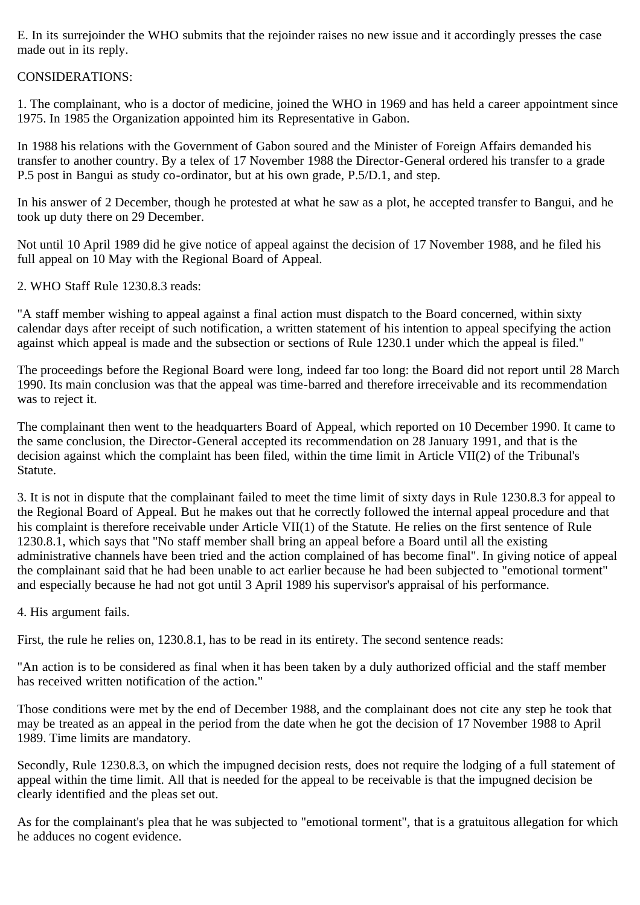E. In its surrejoinder the WHO submits that the rejoinder raises no new issue and it accordingly presses the case made out in its reply.

## CONSIDERATIONS:

1. The complainant, who is a doctor of medicine, joined the WHO in 1969 and has held a career appointment since 1975. In 1985 the Organization appointed him its Representative in Gabon.

In 1988 his relations with the Government of Gabon soured and the Minister of Foreign Affairs demanded his transfer to another country. By a telex of 17 November 1988 the Director-General ordered his transfer to a grade P.5 post in Bangui as study co-ordinator, but at his own grade, P.5/D.1, and step.

In his answer of 2 December, though he protested at what he saw as a plot, he accepted transfer to Bangui, and he took up duty there on 29 December.

Not until 10 April 1989 did he give notice of appeal against the decision of 17 November 1988, and he filed his full appeal on 10 May with the Regional Board of Appeal.

2. WHO Staff Rule 1230.8.3 reads:

"A staff member wishing to appeal against a final action must dispatch to the Board concerned, within sixty calendar days after receipt of such notification, a written statement of his intention to appeal specifying the action against which appeal is made and the subsection or sections of Rule 1230.1 under which the appeal is filed."

The proceedings before the Regional Board were long, indeed far too long: the Board did not report until 28 March 1990. Its main conclusion was that the appeal was time-barred and therefore irreceivable and its recommendation was to reject it.

The complainant then went to the headquarters Board of Appeal, which reported on 10 December 1990. It came to the same conclusion, the Director-General accepted its recommendation on 28 January 1991, and that is the decision against which the complaint has been filed, within the time limit in Article VII(2) of the Tribunal's Statute.

3. It is not in dispute that the complainant failed to meet the time limit of sixty days in Rule 1230.8.3 for appeal to the Regional Board of Appeal. But he makes out that he correctly followed the internal appeal procedure and that his complaint is therefore receivable under Article VII(1) of the Statute. He relies on the first sentence of Rule 1230.8.1, which says that "No staff member shall bring an appeal before a Board until all the existing administrative channels have been tried and the action complained of has become final". In giving notice of appeal the complainant said that he had been unable to act earlier because he had been subjected to "emotional torment" and especially because he had not got until 3 April 1989 his supervisor's appraisal of his performance.

4. His argument fails.

First, the rule he relies on, 1230.8.1, has to be read in its entirety. The second sentence reads:

"An action is to be considered as final when it has been taken by a duly authorized official and the staff member has received written notification of the action."

Those conditions were met by the end of December 1988, and the complainant does not cite any step he took that may be treated as an appeal in the period from the date when he got the decision of 17 November 1988 to April 1989. Time limits are mandatory.

Secondly, Rule 1230.8.3, on which the impugned decision rests, does not require the lodging of a full statement of appeal within the time limit. All that is needed for the appeal to be receivable is that the impugned decision be clearly identified and the pleas set out.

As for the complainant's plea that he was subjected to "emotional torment", that is a gratuitous allegation for which he adduces no cogent evidence.